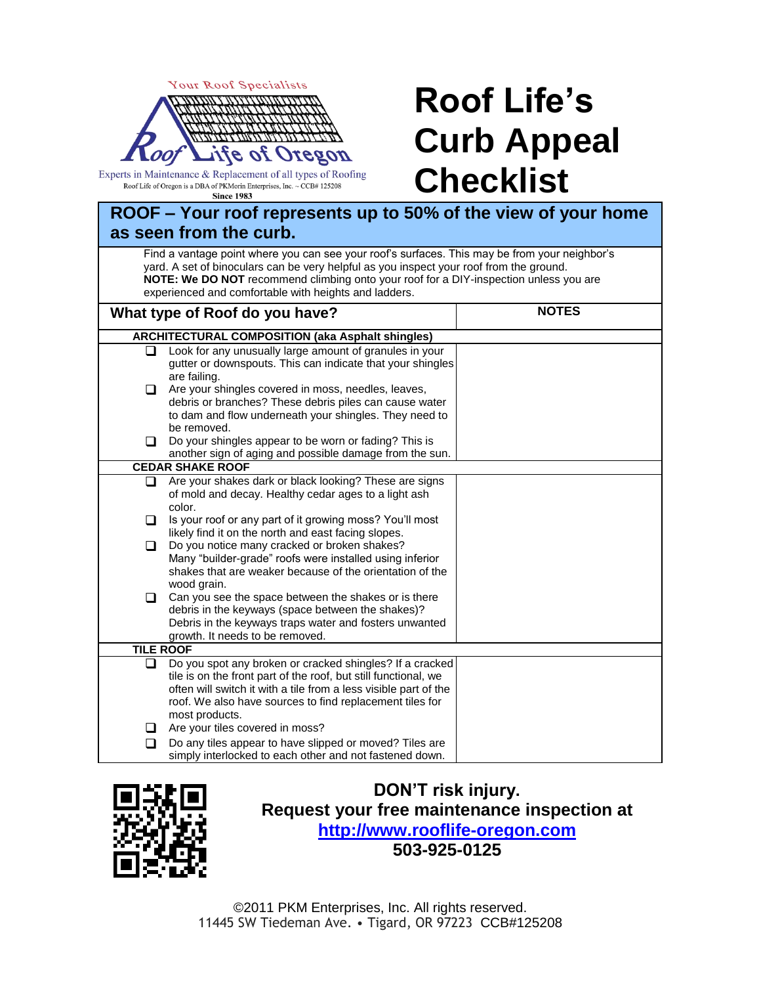

Experts in Maintenance & Replacement of all types of Roofing Roof Life of Oregon is a DBA of PKMorin Enterprises, Inc.  $\sim$  CCB# 125208 **Since 1983** 

## **Roof Life's Curb Appeal Checklist**

| ROOF - Your roof represents up to 50% of the view of your home<br>as seen from the curb.                                                                                                                                                                                                                                                   |                                                                                                                                       |              |  |  |
|--------------------------------------------------------------------------------------------------------------------------------------------------------------------------------------------------------------------------------------------------------------------------------------------------------------------------------------------|---------------------------------------------------------------------------------------------------------------------------------------|--------------|--|--|
| Find a vantage point where you can see your roof's surfaces. This may be from your neighbor's<br>yard. A set of binoculars can be very helpful as you inspect your roof from the ground.<br>NOTE: We DO NOT recommend climbing onto your roof for a DIY-inspection unless you are<br>experienced and comfortable with heights and ladders. |                                                                                                                                       |              |  |  |
| What type of Roof do you have?                                                                                                                                                                                                                                                                                                             |                                                                                                                                       | <b>NOTES</b> |  |  |
|                                                                                                                                                                                                                                                                                                                                            | <b>ARCHITECTURAL COMPOSITION (aka Asphalt shingles)</b>                                                                               |              |  |  |
| □                                                                                                                                                                                                                                                                                                                                          | Look for any unusually large amount of granules in your<br>gutter or downspouts. This can indicate that your shingles<br>are failing. |              |  |  |
| $\Box$                                                                                                                                                                                                                                                                                                                                     | Are your shingles covered in moss, needles, leaves,<br>debris or branches? These debris piles can cause water                         |              |  |  |
| □                                                                                                                                                                                                                                                                                                                                          | to dam and flow underneath your shingles. They need to<br>be removed.<br>Do your shingles appear to be worn or fading? This is        |              |  |  |
|                                                                                                                                                                                                                                                                                                                                            | another sign of aging and possible damage from the sun.                                                                               |              |  |  |
|                                                                                                                                                                                                                                                                                                                                            | <b>CEDAR SHAKE ROOF</b>                                                                                                               |              |  |  |
| ◘                                                                                                                                                                                                                                                                                                                                          | Are your shakes dark or black looking? These are signs                                                                                |              |  |  |
|                                                                                                                                                                                                                                                                                                                                            | of mold and decay. Healthy cedar ages to a light ash<br>color.                                                                        |              |  |  |
| □                                                                                                                                                                                                                                                                                                                                          | Is your roof or any part of it growing moss? You'll most<br>likely find it on the north and east facing slopes.                       |              |  |  |
| □                                                                                                                                                                                                                                                                                                                                          | Do you notice many cracked or broken shakes?                                                                                          |              |  |  |
|                                                                                                                                                                                                                                                                                                                                            | Many "builder-grade" roofs were installed using inferior                                                                              |              |  |  |
|                                                                                                                                                                                                                                                                                                                                            | shakes that are weaker because of the orientation of the                                                                              |              |  |  |
| □                                                                                                                                                                                                                                                                                                                                          | wood grain.<br>Can you see the space between the shakes or is there                                                                   |              |  |  |
|                                                                                                                                                                                                                                                                                                                                            | debris in the keyways (space between the shakes)?                                                                                     |              |  |  |
|                                                                                                                                                                                                                                                                                                                                            | Debris in the keyways traps water and fosters unwanted                                                                                |              |  |  |
|                                                                                                                                                                                                                                                                                                                                            | growth. It needs to be removed.                                                                                                       |              |  |  |
| <b>TILE ROOF</b>                                                                                                                                                                                                                                                                                                                           |                                                                                                                                       |              |  |  |
| ◻                                                                                                                                                                                                                                                                                                                                          | Do you spot any broken or cracked shingles? If a cracked                                                                              |              |  |  |
|                                                                                                                                                                                                                                                                                                                                            | tile is on the front part of the roof, but still functional, we                                                                       |              |  |  |
|                                                                                                                                                                                                                                                                                                                                            | often will switch it with a tile from a less visible part of the                                                                      |              |  |  |
|                                                                                                                                                                                                                                                                                                                                            | roof. We also have sources to find replacement tiles for                                                                              |              |  |  |
| ப                                                                                                                                                                                                                                                                                                                                          | most products.<br>Are your tiles covered in moss?                                                                                     |              |  |  |
| ◻                                                                                                                                                                                                                                                                                                                                          | Do any tiles appear to have slipped or moved? Tiles are                                                                               |              |  |  |
|                                                                                                                                                                                                                                                                                                                                            | simply interlocked to each other and not fastened down.                                                                               |              |  |  |



**DON'T risk injury. Request your free maintenance inspection at [http://www.rooflife-oregon.com](http://rooflife-oregon.com/?utm_source=newsletter&utm_medium=checklist&utm_campaign=curbappeal) 503-925-0125**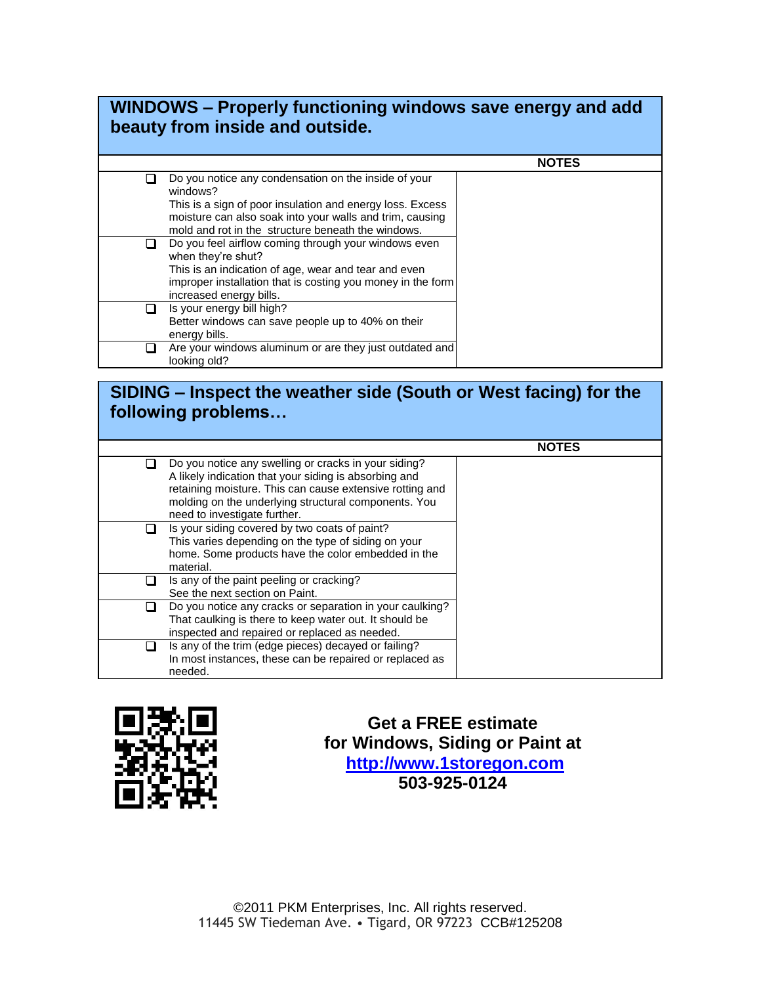## **WINDOWS – Properly functioning windows save energy and add beauty from inside and outside.**

|                                                                                                                                                                                                                                                 | <b>NOTES</b> |
|-------------------------------------------------------------------------------------------------------------------------------------------------------------------------------------------------------------------------------------------------|--------------|
| Do you notice any condensation on the inside of your<br>windows?<br>This is a sign of poor insulation and energy loss. Excess<br>moisture can also soak into your walls and trim, causing<br>mold and rot in the structure beneath the windows. |              |
| Do you feel airflow coming through your windows even<br>when they're shut?<br>This is an indication of age, wear and tear and even<br>improper installation that is costing you money in the form<br>increased energy bills.                    |              |
| Is your energy bill high?<br>Better windows can save people up to 40% on their<br>energy bills.                                                                                                                                                 |              |
| Are your windows aluminum or are they just outdated and<br>looking old?                                                                                                                                                                         |              |

## **SIDING – Inspect the weather side (South or West facing) for the following problems…**

|                                                                                                                                                                                                                                                                   | <b>NOTES</b> |
|-------------------------------------------------------------------------------------------------------------------------------------------------------------------------------------------------------------------------------------------------------------------|--------------|
| Do you notice any swelling or cracks in your siding?<br>A likely indication that your siding is absorbing and<br>retaining moisture. This can cause extensive rotting and<br>molding on the underlying structural components. You<br>need to investigate further. |              |
| Is your siding covered by two coats of paint?<br>This varies depending on the type of siding on your<br>home. Some products have the color embedded in the<br>material.                                                                                           |              |
| Is any of the paint peeling or cracking?<br>See the next section on Paint.                                                                                                                                                                                        |              |
| Do you notice any cracks or separation in your caulking?<br>That caulking is there to keep water out. It should be<br>inspected and repaired or replaced as needed.                                                                                               |              |
| Is any of the trim (edge pieces) decayed or failing?<br>In most instances, these can be repaired or replaced as<br>needed.                                                                                                                                        |              |



**Get a FREE estimate for Windows, Siding or Paint at [http://www.1storegon.com](http://www.1storegon.com/?utm_source=newsletter&utm_medium=checklist&utm_campaign=curbappeal) 503-925-0124**